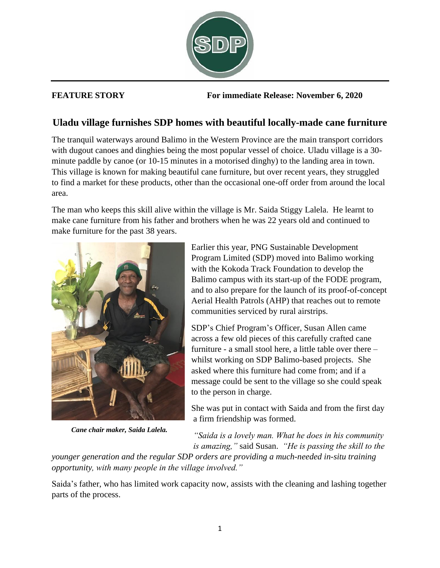

**FEATURE STORY For immediate Release: November 6, 2020**

## **Uladu village furnishes SDP homes with beautiful locally-made cane furniture**

The tranquil waterways around Balimo in the Western Province are the main transport corridors with dugout canoes and dinghies being the most popular vessel of choice. Uladu village is a 30 minute paddle by canoe (or 10-15 minutes in a motorised dinghy) to the landing area in town. This village is known for making beautiful cane furniture, but over recent years, they struggled to find a market for these products, other than the occasional one-off order from around the local area.

The man who keeps this skill alive within the village is Mr. Saida Stiggy Lalela. He learnt to make cane furniture from his father and brothers when he was 22 years old and continued to make furniture for the past 38 years.



*Cane chair maker, Saida Lalela.*

Earlier this year, PNG Sustainable Development Program Limited (SDP) moved into Balimo working with the Kokoda Track Foundation to develop the Balimo campus with its start-up of the FODE program, and to also prepare for the launch of its proof-of-concept Aerial Health Patrols (AHP) that reaches out to remote communities serviced by rural airstrips.

SDP's Chief Program's Officer, Susan Allen came across a few old pieces of this carefully crafted cane furniture - a small stool here, a little table over there – whilst working on SDP Balimo-based projects. She asked where this furniture had come from; and if a message could be sent to the village so she could speak to the person in charge.

She was put in contact with Saida and from the first day a firm friendship was formed.

*"Saida is a lovely man. What he does in his community is amazing,"* said Susan. *"He is passing the skill to the* 

*younger generation and the regular SDP orders are providing a much-needed in-situ training opportunity, with many people in the village involved."*

Saida's father, who has limited work capacity now, assists with the cleaning and lashing together parts of the process.